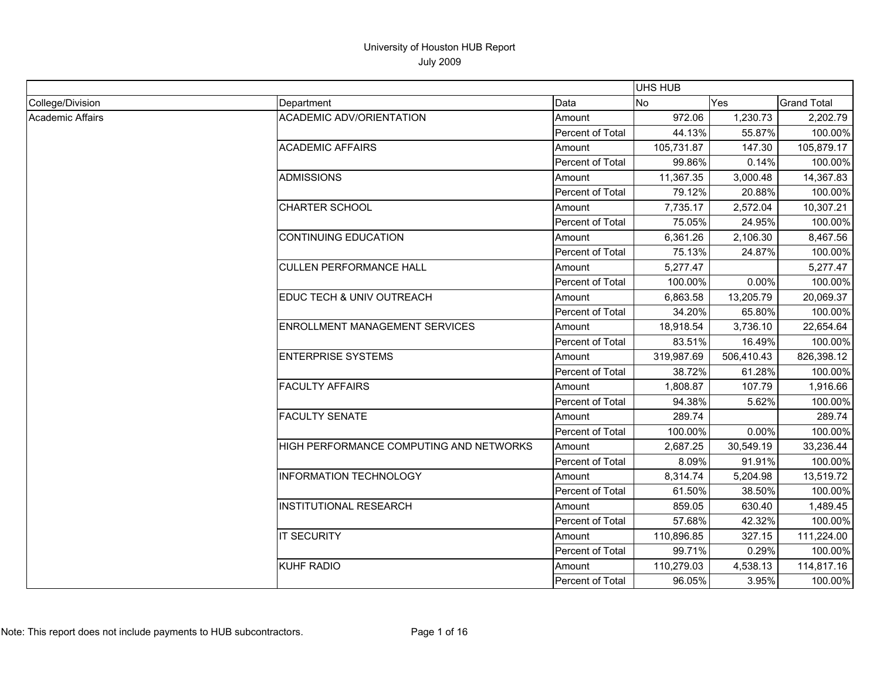|                         |                                         |                  | UHS HUB    |            |                    |
|-------------------------|-----------------------------------------|------------------|------------|------------|--------------------|
| College/Division        | Department                              | Data             | No         | Yes        | <b>Grand Total</b> |
| <b>Academic Affairs</b> | <b>ACADEMIC ADV/ORIENTATION</b>         | Amount           | 972.06     | 1,230.73   | 2,202.79           |
|                         |                                         | Percent of Total | 44.13%     | 55.87%     | 100.00%            |
|                         | <b>ACADEMIC AFFAIRS</b>                 | Amount           | 105,731.87 | 147.30     | 105,879.17         |
|                         |                                         | Percent of Total | 99.86%     | 0.14%      | 100.00%            |
|                         | <b>ADMISSIONS</b>                       | Amount           | 11,367.35  | 3,000.48   | 14,367.83          |
|                         |                                         | Percent of Total | 79.12%     | 20.88%     | 100.00%            |
|                         | <b>CHARTER SCHOOL</b>                   | Amount           | 7,735.17   | 2,572.04   | 10,307.21          |
|                         |                                         | Percent of Total | 75.05%     | 24.95%     | 100.00%            |
|                         | <b>CONTINUING EDUCATION</b>             | Amount           | 6,361.26   | 2,106.30   | 8,467.56           |
|                         |                                         | Percent of Total | 75.13%     | 24.87%     | 100.00%            |
|                         | <b>CULLEN PERFORMANCE HALL</b>          | Amount           | 5,277.47   |            | 5,277.47           |
|                         |                                         | Percent of Total | 100.00%    | 0.00%      | 100.00%            |
|                         | EDUC TECH & UNIV OUTREACH               | Amount           | 6,863.58   | 13,205.79  | 20,069.37          |
|                         |                                         | Percent of Total | 34.20%     | 65.80%     | 100.00%            |
|                         | <b>ENROLLMENT MANAGEMENT SERVICES</b>   | Amount           | 18,918.54  | 3,736.10   | 22,654.64          |
|                         |                                         | Percent of Total | 83.51%     | 16.49%     | 100.00%            |
|                         | <b>ENTERPRISE SYSTEMS</b>               | Amount           | 319,987.69 | 506,410.43 | 826,398.12         |
|                         |                                         | Percent of Total | 38.72%     | 61.28%     | 100.00%            |
|                         | <b>FACULTY AFFAIRS</b>                  | Amount           | 1,808.87   | 107.79     | 1,916.66           |
|                         |                                         | Percent of Total | 94.38%     | 5.62%      | 100.00%            |
|                         | <b>FACULTY SENATE</b>                   | Amount           | 289.74     |            | 289.74             |
|                         |                                         | Percent of Total | 100.00%    | 0.00%      | 100.00%            |
|                         | HIGH PERFORMANCE COMPUTING AND NETWORKS | Amount           | 2,687.25   | 30,549.19  | 33,236.44          |
|                         |                                         | Percent of Total | 8.09%      | 91.91%     | 100.00%            |
|                         | <b>INFORMATION TECHNOLOGY</b>           | Amount           | 8,314.74   | 5,204.98   | 13,519.72          |
|                         |                                         | Percent of Total | 61.50%     | 38.50%     | 100.00%            |
|                         | <b>INSTITUTIONAL RESEARCH</b>           | Amount           | 859.05     | 630.40     | 1,489.45           |
|                         |                                         | Percent of Total | 57.68%     | 42.32%     | 100.00%            |
|                         | <b>IT SECURITY</b>                      | Amount           | 110,896.85 | 327.15     | 111,224.00         |
|                         |                                         | Percent of Total | 99.71%     | 0.29%      | 100.00%            |
|                         | <b>KUHF RADIO</b>                       | Amount           | 110,279.03 | 4,538.13   | 114,817.16         |
|                         |                                         | Percent of Total | 96.05%     | 3.95%      | 100.00%            |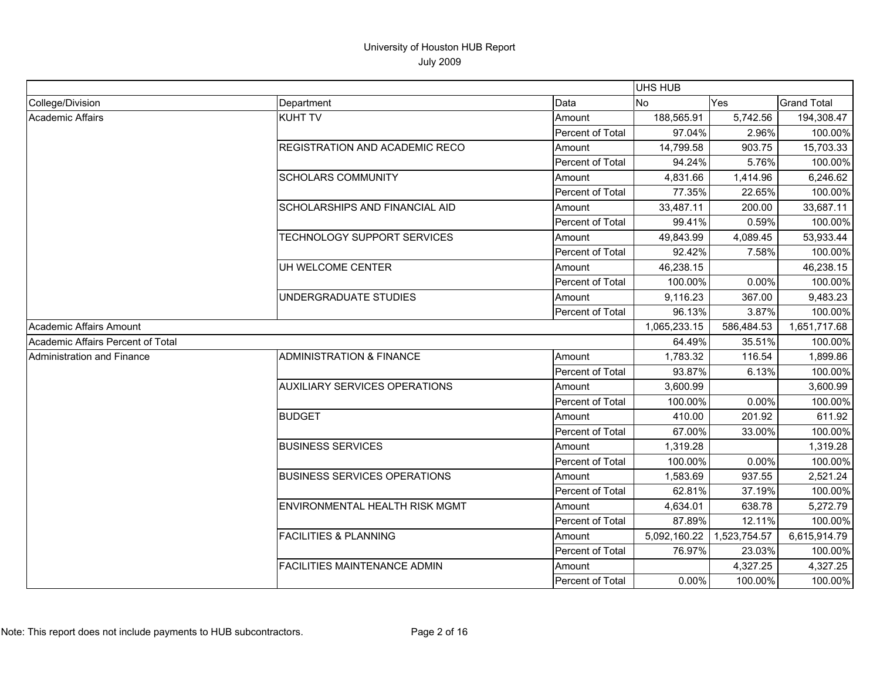|                                   |                                      |                  | UHS HUB      |              |                    |
|-----------------------------------|--------------------------------------|------------------|--------------|--------------|--------------------|
| College/Division                  | Department                           | Data             | <b>No</b>    | Yes          | <b>Grand Total</b> |
| Academic Affairs                  | <b>KUHT TV</b>                       | Amount           | 188,565.91   | 5,742.56     | 194,308.47         |
|                                   |                                      | Percent of Total | 97.04%       | 2.96%        | 100.00%            |
|                                   | REGISTRATION AND ACADEMIC RECO       | Amount           | 14,799.58    | 903.75       | 15,703.33          |
|                                   |                                      | Percent of Total | 94.24%       | 5.76%        | 100.00%            |
|                                   | <b>SCHOLARS COMMUNITY</b>            | Amount           | 4,831.66     | 1,414.96     | 6,246.62           |
|                                   |                                      | Percent of Total | 77.35%       | 22.65%       | 100.00%            |
|                                   | SCHOLARSHIPS AND FINANCIAL AID       | Amount           | 33,487.11    | 200.00       | 33,687.11          |
|                                   |                                      | Percent of Total | 99.41%       | 0.59%        | 100.00%            |
|                                   | <b>TECHNOLOGY SUPPORT SERVICES</b>   | Amount           | 49,843.99    | 4,089.45     | 53,933.44          |
|                                   |                                      | Percent of Total | 92.42%       | 7.58%        | 100.00%            |
|                                   | UH WELCOME CENTER                    | Amount           | 46,238.15    |              | 46,238.15          |
|                                   |                                      | Percent of Total | 100.00%      | 0.00%        | 100.00%            |
|                                   | UNDERGRADUATE STUDIES                | Amount           | 9,116.23     | 367.00       | 9,483.23           |
|                                   |                                      | Percent of Total | 96.13%       | 3.87%        | 100.00%            |
| Academic Affairs Amount           |                                      |                  | 1,065,233.15 | 586,484.53   | 1,651,717.68       |
| Academic Affairs Percent of Total |                                      |                  | 64.49%       | 35.51%       | 100.00%            |
| Administration and Finance        | <b>ADMINISTRATION &amp; FINANCE</b>  | Amount           | 1,783.32     | 116.54       | 1,899.86           |
|                                   |                                      | Percent of Total | 93.87%       | 6.13%        | 100.00%            |
|                                   | <b>AUXILIARY SERVICES OPERATIONS</b> | Amount           | 3,600.99     |              | 3,600.99           |
|                                   |                                      | Percent of Total | 100.00%      | 0.00%        | 100.00%            |
|                                   | <b>BUDGET</b>                        | Amount           | 410.00       | 201.92       | 611.92             |
|                                   |                                      | Percent of Total | 67.00%       | 33.00%       | 100.00%            |
|                                   | <b>BUSINESS SERVICES</b>             | Amount           | 1,319.28     |              | 1,319.28           |
|                                   |                                      | Percent of Total | 100.00%      | 0.00%        | 100.00%            |
|                                   | <b>BUSINESS SERVICES OPERATIONS</b>  | Amount           | 1,583.69     | 937.55       | 2,521.24           |
|                                   |                                      | Percent of Total | 62.81%       | 37.19%       | 100.00%            |
|                                   | ENVIRONMENTAL HEALTH RISK MGMT       | Amount           | 4,634.01     | 638.78       | 5,272.79           |
|                                   |                                      | Percent of Total | 87.89%       | 12.11%       | 100.00%            |
|                                   | <b>FACILITIES &amp; PLANNING</b>     | Amount           | 5,092,160.22 | 1,523,754.57 | 6,615,914.79       |
|                                   |                                      | Percent of Total | 76.97%       | 23.03%       | 100.00%            |
|                                   | FACILITIES MAINTENANCE ADMIN         | Amount           |              | 4,327.25     | 4,327.25           |
|                                   |                                      | Percent of Total | 0.00%        | 100.00%      | 100.00%            |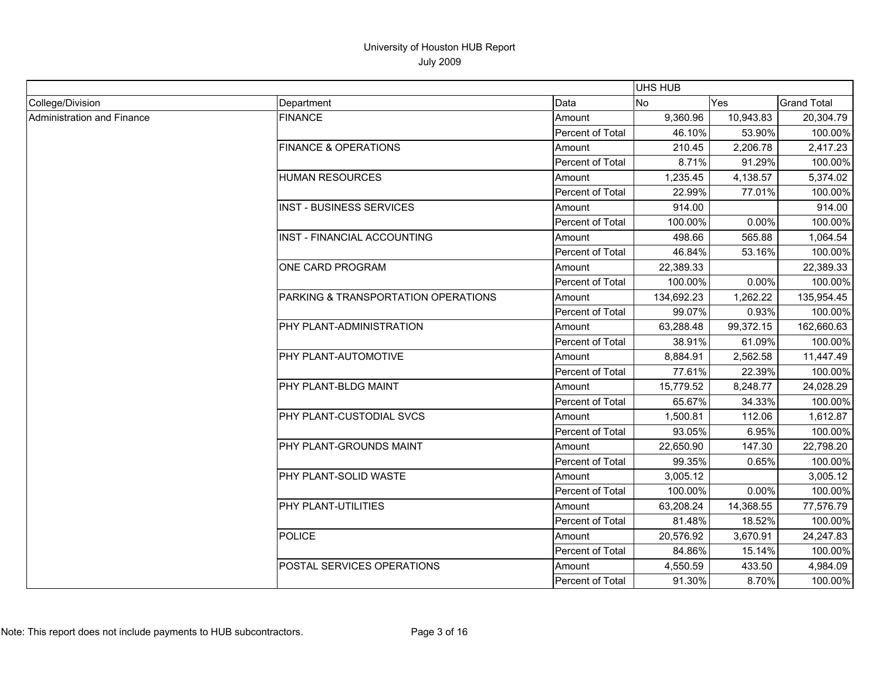|                            |                                     |                  | <b>UHS HUB</b> |           |                    |
|----------------------------|-------------------------------------|------------------|----------------|-----------|--------------------|
| College/Division           | Department                          | Data             | <b>No</b>      | Yes       | <b>Grand Total</b> |
| Administration and Finance | <b>FINANCE</b>                      | Amount           | 9,360.96       | 10,943.83 | 20,304.79          |
|                            |                                     | Percent of Total | 46.10%         | 53.90%    | 100.00%            |
|                            | <b>FINANCE &amp; OPERATIONS</b>     | Amount           | 210.45         | 2,206.78  | 2,417.23           |
|                            |                                     | Percent of Total | 8.71%          | 91.29%    | 100.00%            |
|                            | <b>HUMAN RESOURCES</b>              | Amount           | 1,235.45       | 4,138.57  | 5,374.02           |
|                            |                                     | Percent of Total | 22.99%         | 77.01%    | 100.00%            |
|                            | <b>INST - BUSINESS SERVICES</b>     | Amount           | 914.00         |           | 914.00             |
|                            |                                     | Percent of Total | 100.00%        | 0.00%     | 100.00%            |
|                            | INST - FINANCIAL ACCOUNTING         | Amount           | 498.66         | 565.88    | 1,064.54           |
|                            |                                     | Percent of Total | 46.84%         | 53.16%    | 100.00%            |
|                            | ONE CARD PROGRAM                    | Amount           | 22,389.33      |           | 22,389.33          |
|                            |                                     | Percent of Total | 100.00%        | 0.00%     | 100.00%            |
|                            | PARKING & TRANSPORTATION OPERATIONS | Amount           | 134,692.23     | 1,262.22  | 135,954.45         |
|                            |                                     | Percent of Total | 99.07%         | 0.93%     | 100.00%            |
|                            | PHY PLANT-ADMINISTRATION            | Amount           | 63,288.48      | 99,372.15 | 162,660.63         |
|                            |                                     | Percent of Total | 38.91%         | 61.09%    | 100.00%            |
|                            | PHY PLANT-AUTOMOTIVE                | Amount           | 8,884.91       | 2,562.58  | 11,447.49          |
|                            |                                     | Percent of Total | 77.61%         | 22.39%    | 100.00%            |
|                            | PHY PLANT-BLDG MAINT                | Amount           | 15,779.52      | 8,248.77  | 24,028.29          |
|                            |                                     | Percent of Total | 65.67%         | 34.33%    | 100.00%            |
|                            | <b>PHY PLANT-CUSTODIAL SVCS</b>     | Amount           | 1,500.81       | 112.06    | 1,612.87           |
|                            |                                     | Percent of Total | 93.05%         | 6.95%     | 100.00%            |
|                            | <b>IPHY PLANT-GROUNDS MAINT</b>     | Amount           | 22.650.90      | 147.30    | 22,798.20          |
|                            |                                     | Percent of Total | 99.35%         | 0.65%     | 100.00%            |
|                            | PHY PLANT-SOLID WASTE               | Amount           | 3,005.12       |           | 3,005.12           |
|                            |                                     | Percent of Total | 100.00%        | 0.00%     | 100.00%            |
|                            | PHY PLANT-UTILITIES                 | Amount           | 63,208.24      | 14,368.55 | 77,576.79          |
|                            |                                     | Percent of Total | 81.48%         | 18.52%    | 100.00%            |
|                            | <b>POLICE</b>                       | Amount           | 20,576.92      | 3,670.91  | 24,247.83          |
|                            |                                     | Percent of Total | 84.86%         | 15.14%    | 100.00%            |
|                            | POSTAL SERVICES OPERATIONS          | Amount           | 4,550.59       | 433.50    | 4,984.09           |
|                            |                                     | Percent of Total | 91.30%         | 8.70%     | 100.00%            |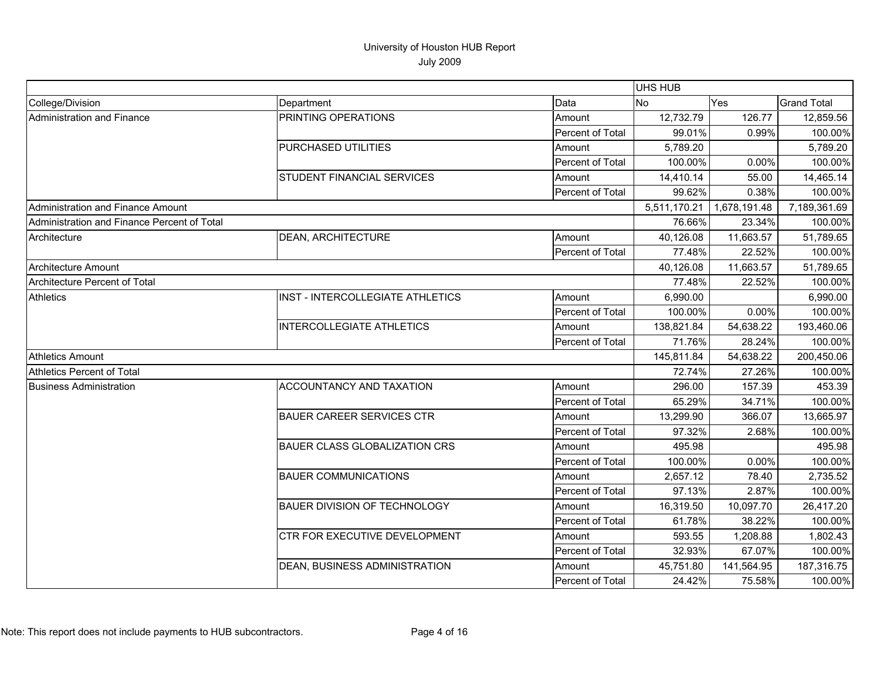|                                             |                                      |                  | UHS HUB      |              |                    |
|---------------------------------------------|--------------------------------------|------------------|--------------|--------------|--------------------|
| College/Division                            | Department                           | Data             | No           | <b>Yes</b>   | <b>Grand Total</b> |
| Administration and Finance                  | PRINTING OPERATIONS                  | Amount           | 12,732.79    | 126.77       | 12,859.56          |
|                                             |                                      | Percent of Total | 99.01%       | 0.99%        | 100.00%            |
|                                             | PURCHASED UTILITIES                  | Amount           | 5,789.20     |              | 5,789.20           |
|                                             |                                      | Percent of Total | 100.00%      | 0.00%        | 100.00%            |
|                                             | STUDENT FINANCIAL SERVICES           | Amount           | 14,410.14    | 55.00        | 14,465.14          |
|                                             |                                      | Percent of Total | 99.62%       | 0.38%        | 100.00%            |
| Administration and Finance Amount           |                                      |                  | 5,511,170.21 | 1,678,191.48 | 7,189,361.69       |
| Administration and Finance Percent of Total |                                      |                  | 76.66%       | 23.34%       | 100.00%            |
| Architecture                                | <b>DEAN, ARCHITECTURE</b>            | Amount           | 40,126.08    | 11,663.57    | 51,789.65          |
|                                             |                                      | Percent of Total | 77.48%       | 22.52%       | 100.00%            |
| Architecture Amount                         |                                      |                  | 40,126.08    | 11,663.57    | 51,789.65          |
| Architecture Percent of Total               |                                      |                  | 77.48%       | 22.52%       | 100.00%            |
| Athletics                                   | INST - INTERCOLLEGIATE ATHLETICS     | Amount           | 6,990.00     |              | 6,990.00           |
|                                             |                                      | Percent of Total | 100.00%      | 0.00%        | 100.00%            |
|                                             | <b>INTERCOLLEGIATE ATHLETICS</b>     | Amount           | 138,821.84   | 54,638.22    | 193,460.06         |
|                                             |                                      | Percent of Total | 71.76%       | 28.24%       | 100.00%            |
| Athletics Amount                            |                                      |                  | 145,811.84   | 54,638.22    | 200,450.06         |
| Athletics Percent of Total                  |                                      |                  | 72.74%       | 27.26%       | 100.00%            |
| <b>Business Administration</b>              | <b>ACCOUNTANCY AND TAXATION</b>      | Amount           | 296.00       | 157.39       | 453.39             |
|                                             |                                      | Percent of Total | 65.29%       | 34.71%       | 100.00%            |
|                                             | <b>BAUER CAREER SERVICES CTR</b>     | Amount           | 13,299.90    | 366.07       | 13,665.97          |
|                                             |                                      | Percent of Total | 97.32%       | 2.68%        | 100.00%            |
|                                             | <b>BAUER CLASS GLOBALIZATION CRS</b> | Amount           | 495.98       |              | 495.98             |
|                                             |                                      | Percent of Total | 100.00%      | 0.00%        | 100.00%            |
|                                             | <b>BAUER COMMUNICATIONS</b>          | Amount           | 2,657.12     | 78.40        | 2,735.52           |
|                                             |                                      | Percent of Total | 97.13%       | 2.87%        | 100.00%            |
|                                             | BAUER DIVISION OF TECHNOLOGY         | Amount           | 16,319.50    | 10,097.70    | 26,417.20          |
|                                             |                                      | Percent of Total | 61.78%       | 38.22%       | 100.00%            |
|                                             | CTR FOR EXECUTIVE DEVELOPMENT        | Amount           | 593.55       | 1,208.88     | 1,802.43           |
|                                             |                                      | Percent of Total | 32.93%       | 67.07%       | 100.00%            |
|                                             | DEAN, BUSINESS ADMINISTRATION        | Amount           | 45,751.80    | 141,564.95   | 187,316.75         |
|                                             |                                      | Percent of Total | 24.42%       | 75.58%       | 100.00%            |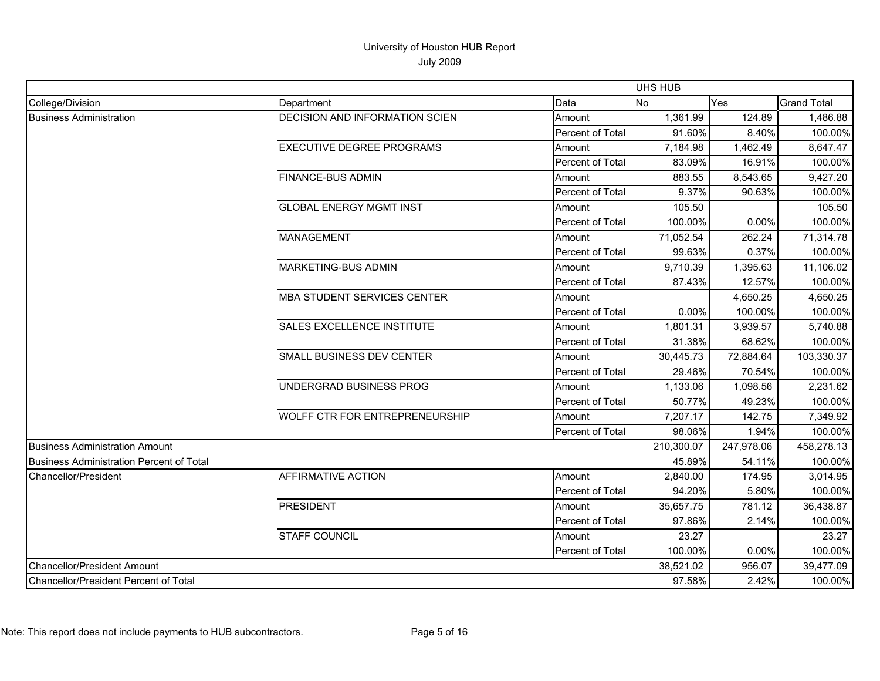|                                          |                                       |                  | <b>UHS HUB</b> |            |                    |
|------------------------------------------|---------------------------------------|------------------|----------------|------------|--------------------|
| College/Division                         | Department                            | Data             | No             | Yes        | <b>Grand Total</b> |
| <b>Business Administration</b>           | <b>DECISION AND INFORMATION SCIEN</b> | Amount           | 1,361.99       | 124.89     | 1,486.88           |
|                                          |                                       | Percent of Total | 91.60%         | 8.40%      | 100.00%            |
|                                          | <b>EXECUTIVE DEGREE PROGRAMS</b>      | Amount           | 7,184.98       | 1,462.49   | 8,647.47           |
|                                          |                                       | Percent of Total | 83.09%         | 16.91%     | 100.00%            |
|                                          | <b>FINANCE-BUS ADMIN</b>              | Amount           | 883.55         | 8,543.65   | 9,427.20           |
|                                          |                                       | Percent of Total | 9.37%          | 90.63%     | 100.00%            |
|                                          | <b>GLOBAL ENERGY MGMT INST</b>        | Amount           | 105.50         |            | 105.50             |
|                                          |                                       | Percent of Total | 100.00%        | $0.00\%$   | 100.00%            |
|                                          | MANAGEMENT                            | Amount           | 71,052.54      | 262.24     | 71,314.78          |
|                                          |                                       | Percent of Total | 99.63%         | 0.37%      | 100.00%            |
|                                          | <b>MARKETING-BUS ADMIN</b>            | Amount           | 9,710.39       | 1,395.63   | 11,106.02          |
|                                          |                                       | Percent of Total | 87.43%         | 12.57%     | 100.00%            |
|                                          | <b>MBA STUDENT SERVICES CENTER</b>    | Amount           |                | 4,650.25   | 4,650.25           |
|                                          |                                       | Percent of Total | 0.00%          | 100.00%    | 100.00%            |
|                                          | <b>SALES EXCELLENCE INSTITUTE</b>     | Amount           | 1,801.31       | 3,939.57   | 5,740.88           |
|                                          |                                       | Percent of Total | 31.38%         | 68.62%     | 100.00%            |
|                                          | SMALL BUSINESS DEV CENTER             | Amount           | 30,445.73      | 72,884.64  | 103,330.37         |
|                                          |                                       | Percent of Total | 29.46%         | 70.54%     | 100.00%            |
|                                          | UNDERGRAD BUSINESS PROG               | Amount           | 1,133.06       | 1,098.56   | 2,231.62           |
|                                          |                                       | Percent of Total | 50.77%         | 49.23%     | 100.00%            |
|                                          | <b>WOLFF CTR FOR ENTREPRENEURSHIP</b> | Amount           | 7,207.17       | 142.75     | 7,349.92           |
|                                          |                                       | Percent of Total | 98.06%         | 1.94%      | 100.00%            |
| <b>Business Administration Amount</b>    |                                       |                  | 210,300.07     | 247,978.06 | 458,278.13         |
| Business Administration Percent of Total |                                       |                  | 45.89%         | 54.11%     | 100.00%            |
| <b>Chancellor/President</b>              | <b>AFFIRMATIVE ACTION</b>             | Amount           | 2,840.00       | 174.95     | 3,014.95           |
|                                          |                                       | Percent of Total | 94.20%         | 5.80%      | 100.00%            |
|                                          | PRESIDENT                             | Amount           | 35,657.75      | 781.12     | 36,438.87          |
|                                          |                                       | Percent of Total | 97.86%         | 2.14%      | 100.00%            |
|                                          | <b>STAFF COUNCIL</b>                  | Amount           | 23.27          |            | 23.27              |
|                                          |                                       | Percent of Total | 100.00%        | 0.00%      | 100.00%            |
| Chancellor/President Amount              |                                       |                  | 38,521.02      | 956.07     | 39,477.09          |
| Chancellor/President Percent of Total    |                                       |                  | 97.58%         | 2.42%      | 100.00%            |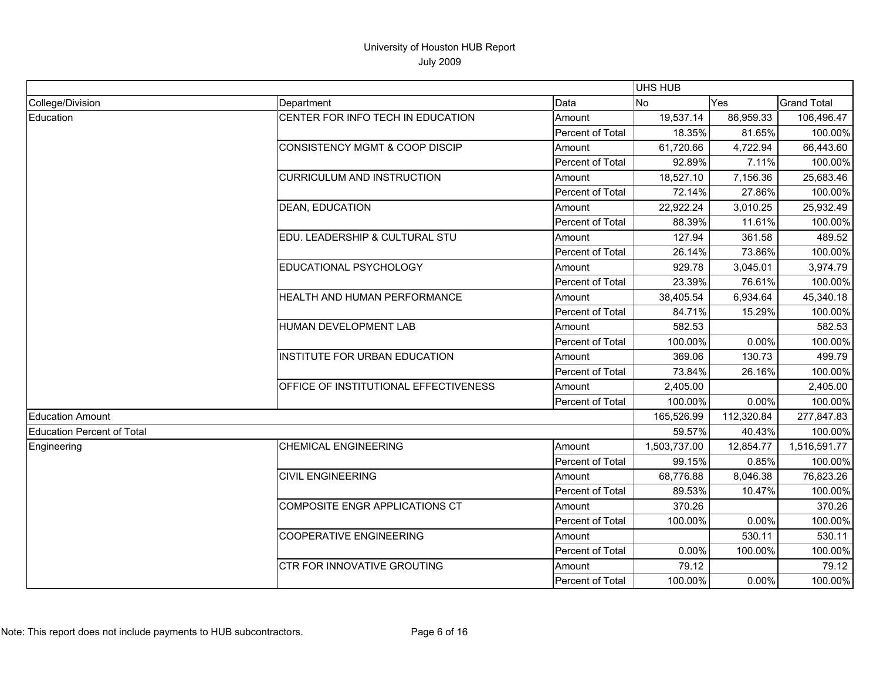|                            |                                           |                  | UHS HUB      |            |                    |
|----------------------------|-------------------------------------------|------------------|--------------|------------|--------------------|
| College/Division           | Department                                | Data             | <b>No</b>    | Yes        | <b>Grand Total</b> |
| Education                  | CENTER FOR INFO TECH IN EDUCATION         | Amount           | 19,537.14    | 86,959.33  | 106,496.47         |
|                            |                                           | Percent of Total | 18.35%       | 81.65%     | 100.00%            |
|                            | <b>CONSISTENCY MGMT &amp; COOP DISCIP</b> | Amount           | 61,720.66    | 4,722.94   | 66,443.60          |
|                            |                                           | Percent of Total | 92.89%       | 7.11%      | 100.00%            |
|                            | <b>CURRICULUM AND INSTRUCTION</b>         | Amount           | 18,527.10    | 7,156.36   | 25,683.46          |
|                            |                                           | Percent of Total | 72.14%       | 27.86%     | 100.00%            |
|                            | <b>DEAN, EDUCATION</b>                    | Amount           | 22,922.24    | 3,010.25   | 25,932.49          |
|                            |                                           | Percent of Total | 88.39%       | 11.61%     | 100.00%            |
|                            | EDU. LEADERSHIP & CULTURAL STU            | Amount           | 127.94       | 361.58     | 489.52             |
|                            |                                           | Percent of Total | 26.14%       | 73.86%     | 100.00%            |
|                            | EDUCATIONAL PSYCHOLOGY                    | Amount           | 929.78       | 3,045.01   | 3,974.79           |
|                            |                                           | Percent of Total | 23.39%       | 76.61%     | 100.00%            |
|                            | HEALTH AND HUMAN PERFORMANCE              | Amount           | 38,405.54    | 6,934.64   | 45,340.18          |
|                            |                                           | Percent of Total | 84.71%       | 15.29%     | 100.00%            |
|                            | HUMAN DEVELOPMENT LAB                     | Amount           | 582.53       |            | 582.53             |
|                            |                                           | Percent of Total | 100.00%      | 0.00%      | 100.00%            |
|                            | INSTITUTE FOR URBAN EDUCATION             | Amount           | 369.06       | 130.73     | 499.79             |
|                            |                                           | Percent of Total | 73.84%       | 26.16%     | 100.00%            |
|                            | OFFICE OF INSTITUTIONAL EFFECTIVENESS     | Amount           | 2,405.00     |            | 2,405.00           |
|                            |                                           | Percent of Total | 100.00%      | 0.00%      | 100.00%            |
| <b>Education Amount</b>    |                                           |                  | 165,526.99   | 112,320.84 | 277,847.83         |
| Education Percent of Total |                                           |                  | 59.57%       | 40.43%     | 100.00%            |
| Engineering                | <b>CHEMICAL ENGINEERING</b>               | Amount           | 1,503,737.00 | 12,854.77  | 1,516,591.77       |
|                            |                                           | Percent of Total | 99.15%       | 0.85%      | 100.00%            |
|                            | <b>CIVIL ENGINEERING</b>                  | Amount           | 68,776.88    | 8,046.38   | 76,823.26          |
|                            |                                           | Percent of Total | 89.53%       | 10.47%     | 100.00%            |
|                            | COMPOSITE ENGR APPLICATIONS CT            | Amount           | 370.26       |            | 370.26             |
|                            |                                           | Percent of Total | 100.00%      | 0.00%      | 100.00%            |
|                            | <b>COOPERATIVE ENGINEERING</b>            | Amount           |              | 530.11     | 530.11             |
|                            |                                           | Percent of Total | 0.00%        | 100.00%    | 100.00%            |
|                            | CTR FOR INNOVATIVE GROUTING               | Amount           | 79.12        |            | 79.12              |
|                            |                                           | Percent of Total | 100.00%      | 0.00%      | 100.00%            |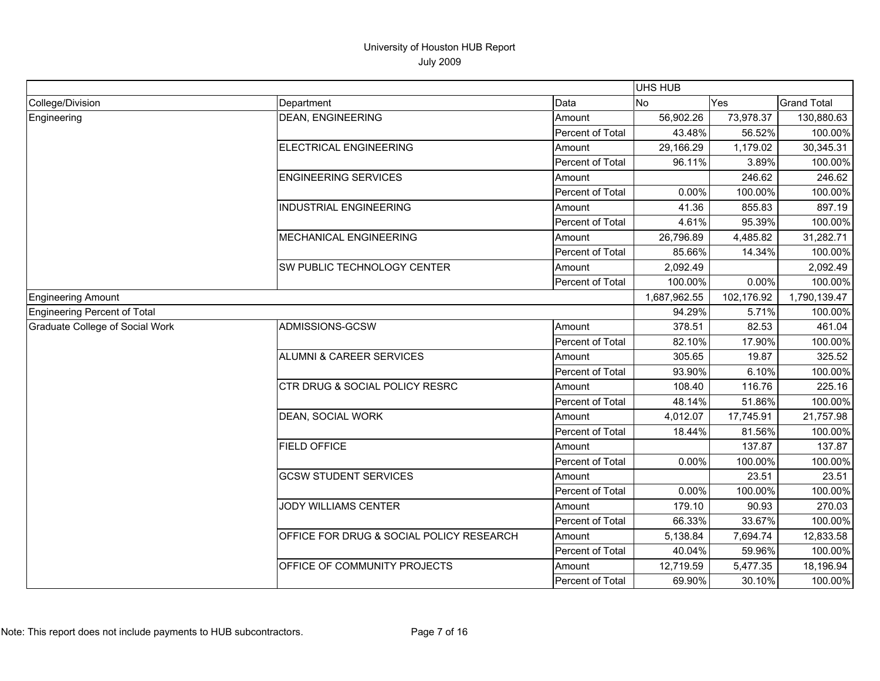|                                 |                                           |                  | <b>UHS HUB</b> |            |                    |
|---------------------------------|-------------------------------------------|------------------|----------------|------------|--------------------|
| College/Division                | Department                                | Data             | <b>No</b>      | Yes        | <b>Grand Total</b> |
| Engineering                     | DEAN, ENGINEERING                         | Amount           | 56,902.26      | 73,978.37  | 130,880.63         |
|                                 |                                           | Percent of Total | 43.48%         | 56.52%     | 100.00%            |
|                                 | <b>ELECTRICAL ENGINEERING</b>             | Amount           | 29,166.29      | 1,179.02   | 30,345.31          |
|                                 |                                           | Percent of Total | 96.11%         | 3.89%      | 100.00%            |
|                                 | <b>ENGINEERING SERVICES</b>               | Amount           |                | 246.62     | 246.62             |
|                                 |                                           | Percent of Total | 0.00%          | 100.00%    | 100.00%            |
|                                 | <b>INDUSTRIAL ENGINEERING</b>             | Amount           | 41.36          | 855.83     | 897.19             |
|                                 |                                           | Percent of Total | 4.61%          | 95.39%     | 100.00%            |
|                                 | <b>MECHANICAL ENGINEERING</b>             | Amount           | 26,796.89      | 4,485.82   | 31,282.71          |
|                                 |                                           | Percent of Total | 85.66%         | 14.34%     | 100.00%            |
|                                 | SW PUBLIC TECHNOLOGY CENTER               | Amount           | 2,092.49       |            | 2,092.49           |
|                                 |                                           | Percent of Total | 100.00%        | 0.00%      | 100.00%            |
| <b>Engineering Amount</b>       |                                           |                  | 1,687,962.55   | 102,176.92 | 1,790,139.47       |
| Engineering Percent of Total    |                                           |                  | 94.29%         | 5.71%      | 100.00%            |
| Graduate College of Social Work | ADMISSIONS-GCSW                           | Amount           | 378.51         | 82.53      | 461.04             |
|                                 |                                           | Percent of Total | 82.10%         | 17.90%     | 100.00%            |
|                                 | ALUMNI & CAREER SERVICES                  | Amount           | 305.65         | 19.87      | 325.52             |
|                                 |                                           | Percent of Total | 93.90%         | 6.10%      | 100.00%            |
|                                 | <b>CTR DRUG &amp; SOCIAL POLICY RESRC</b> | Amount           | 108.40         | 116.76     | 225.16             |
|                                 |                                           | Percent of Total | 48.14%         | 51.86%     | 100.00%            |
|                                 | <b>DEAN, SOCIAL WORK</b>                  | Amount           | 4,012.07       | 17,745.91  | 21,757.98          |
|                                 |                                           | Percent of Total | 18.44%         | 81.56%     | 100.00%            |
|                                 | <b>FIELD OFFICE</b>                       | Amount           |                | 137.87     | 137.87             |
|                                 |                                           | Percent of Total | $0.00\%$       | 100.00%    | 100.00%            |
|                                 | <b>GCSW STUDENT SERVICES</b>              | Amount           |                | 23.51      | 23.51              |
|                                 |                                           | Percent of Total | 0.00%          | 100.00%    | 100.00%            |
|                                 | JODY WILLIAMS CENTER                      | Amount           | 179.10         | 90.93      | 270.03             |
|                                 |                                           | Percent of Total | 66.33%         | 33.67%     | 100.00%            |
|                                 | OFFICE FOR DRUG & SOCIAL POLICY RESEARCH  | Amount           | 5,138.84       | 7,694.74   | 12,833.58          |
|                                 |                                           | Percent of Total | 40.04%         | 59.96%     | 100.00%            |
|                                 | OFFICE OF COMMUNITY PROJECTS              | Amount           | 12,719.59      | 5,477.35   | 18,196.94          |
|                                 |                                           | Percent of Total | 69.90%         | 30.10%     | 100.00%            |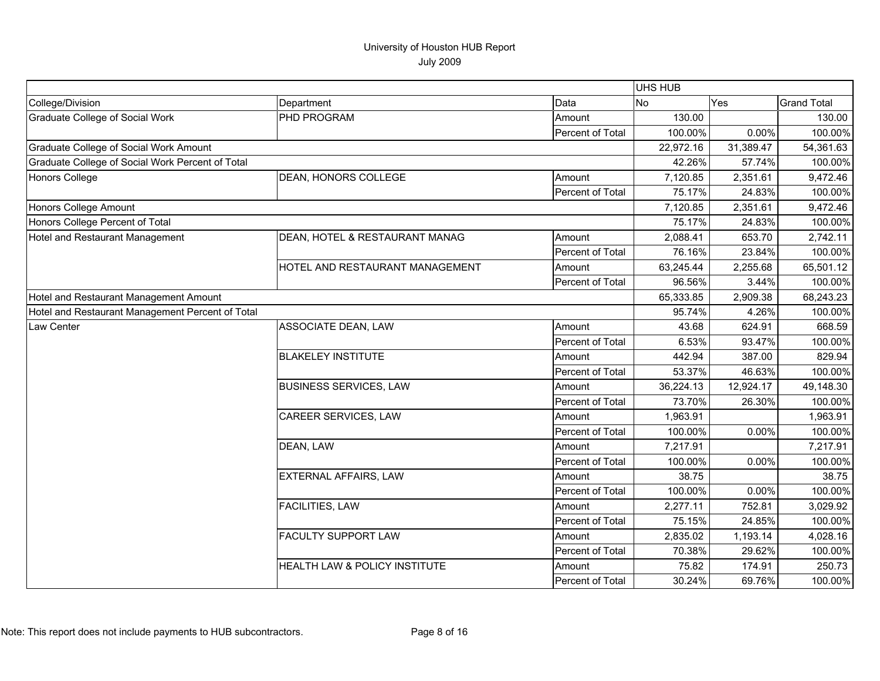|                                                  |                                 |                  | UHS HUB   |           |                    |
|--------------------------------------------------|---------------------------------|------------------|-----------|-----------|--------------------|
| College/Division                                 | Department                      | Data             | <b>No</b> | Yes       | <b>Grand Total</b> |
| <b>Graduate College of Social Work</b>           | PHD PROGRAM                     | Amount           | 130.00    |           | 130.00             |
|                                                  |                                 | Percent of Total | 100.00%   | 0.00%     | 100.00%            |
| Graduate College of Social Work Amount           |                                 |                  | 22,972.16 | 31,389.47 | 54,361.63          |
| Graduate College of Social Work Percent of Total |                                 |                  | 42.26%    | 57.74%    | 100.00%            |
| <b>Honors College</b>                            | DEAN, HONORS COLLEGE            | Amount           | 7,120.85  | 2,351.61  | 9,472.46           |
|                                                  |                                 | Percent of Total | 75.17%    | 24.83%    | 100.00%            |
| Honors College Amount                            |                                 |                  | 7,120.85  | 2,351.61  | 9,472.46           |
| Honors College Percent of Total                  |                                 |                  | 75.17%    | 24.83%    | 100.00%            |
| Hotel and Restaurant Management                  | DEAN, HOTEL & RESTAURANT MANAG  | Amount           | 2,088.41  | 653.70    | 2,742.11           |
|                                                  |                                 | Percent of Total | 76.16%    | 23.84%    | 100.00%            |
|                                                  | HOTEL AND RESTAURANT MANAGEMENT | Amount           | 63,245.44 | 2,255.68  | 65,501.12          |
|                                                  |                                 | Percent of Total | 96.56%    | 3.44%     | 100.00%            |
| Hotel and Restaurant Management Amount           |                                 |                  | 65,333.85 | 2,909.38  | 68,243.23          |
| Hotel and Restaurant Management Percent of Total |                                 |                  | 95.74%    | 4.26%     | 100.00%            |
| Law Center                                       | ASSOCIATE DEAN, LAW             | Amount           | 43.68     | 624.91    | 668.59             |
|                                                  |                                 | Percent of Total | 6.53%     | 93.47%    | 100.00%            |
|                                                  | <b>BLAKELEY INSTITUTE</b>       | Amount           | 442.94    | 387.00    | 829.94             |
|                                                  |                                 | Percent of Total | 53.37%    | 46.63%    | 100.00%            |
|                                                  | <b>BUSINESS SERVICES, LAW</b>   | Amount           | 36,224.13 | 12,924.17 | 49,148.30          |
|                                                  |                                 | Percent of Total | 73.70%    | 26.30%    | 100.00%            |
|                                                  | CAREER SERVICES, LAW            | Amount           | 1,963.91  |           | 1,963.91           |
|                                                  |                                 | Percent of Total | 100.00%   | 0.00%     | 100.00%            |
|                                                  | DEAN, LAW                       | Amount           | 7,217.91  |           | 7,217.91           |
|                                                  |                                 | Percent of Total | 100.00%   | 0.00%     | 100.00%            |
|                                                  | <b>EXTERNAL AFFAIRS, LAW</b>    | Amount           | 38.75     |           | 38.75              |
|                                                  |                                 | Percent of Total | 100.00%   | 0.00%     | 100.00%            |
|                                                  | FACILITIES, LAW                 | Amount           | 2,277.11  | 752.81    | 3,029.92           |
|                                                  |                                 | Percent of Total | 75.15%    | 24.85%    | 100.00%            |
|                                                  | FACULTY SUPPORT LAW             | Amount           | 2,835.02  | 1,193.14  | 4,028.16           |
|                                                  |                                 | Percent of Total | 70.38%    | 29.62%    | 100.00%            |
|                                                  | HEALTH LAW & POLICY INSTITUTE   | Amount           | 75.82     | 174.91    | 250.73             |
|                                                  |                                 | Percent of Total | 30.24%    | 69.76%    | 100.00%            |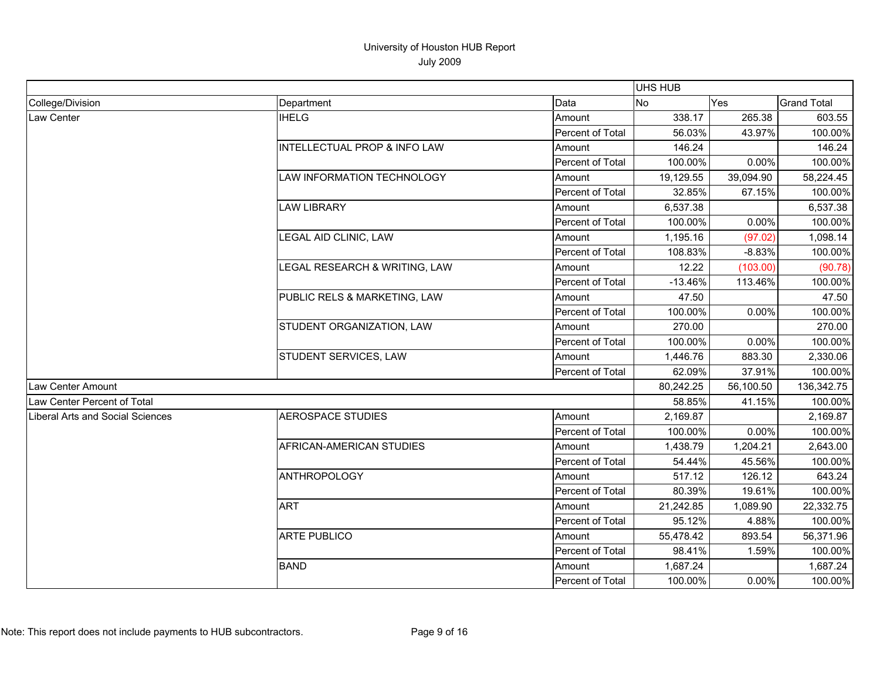|                                  |                                         |                         | <b>UHS HUB</b> |           |                    |
|----------------------------------|-----------------------------------------|-------------------------|----------------|-----------|--------------------|
| College/Division                 | Department                              | Data                    | No             | Yes       | <b>Grand Total</b> |
| Law Center                       | <b>IHELG</b>                            | Amount                  | 338.17         | 265.38    | 603.55             |
|                                  |                                         | Percent of Total        | 56.03%         | 43.97%    | 100.00%            |
|                                  | <b>INTELLECTUAL PROP &amp; INFO LAW</b> | Amount                  | 146.24         |           | 146.24             |
|                                  |                                         | Percent of Total        | 100.00%        | 0.00%     | 100.00%            |
|                                  | <b>LAW INFORMATION TECHNOLOGY</b>       | Amount                  | 19,129.55      | 39,094.90 | 58,224.45          |
|                                  |                                         | Percent of Total        | 32.85%         | 67.15%    | 100.00%            |
|                                  | <b>LAW LIBRARY</b>                      | Amount                  | 6,537.38       |           | 6,537.38           |
|                                  |                                         | Percent of Total        | 100.00%        | 0.00%     | 100.00%            |
|                                  | LEGAL AID CLINIC, LAW                   | Amount                  | 1,195.16       | (97.02)   | 1,098.14           |
|                                  |                                         | Percent of Total        | 108.83%        | $-8.83%$  | 100.00%            |
|                                  | LEGAL RESEARCH & WRITING, LAW           | Amount                  | 12.22          | (103.00)  | (90.78)            |
|                                  |                                         | Percent of Total        | $-13.46%$      | 113.46%   | 100.00%            |
|                                  | PUBLIC RELS & MARKETING, LAW            | Amount                  | 47.50          |           | 47.50              |
|                                  |                                         | Percent of Total        | 100.00%        | 0.00%     | 100.00%            |
|                                  | STUDENT ORGANIZATION, LAW               | Amount                  | 270.00         |           | 270.00             |
|                                  |                                         | Percent of Total        | 100.00%        | 0.00%     | 100.00%            |
|                                  | STUDENT SERVICES, LAW                   | Amount                  | 1,446.76       | 883.30    | 2,330.06           |
|                                  |                                         | Percent of Total        | 62.09%         | 37.91%    | 100.00%            |
| Law Center Amount                |                                         |                         | 80,242.25      | 56,100.50 | 136,342.75         |
| Law Center Percent of Total      |                                         |                         | 58.85%         | 41.15%    | 100.00%            |
| Liberal Arts and Social Sciences | AEROSPACE STUDIES                       | Amount                  | 2,169.87       |           | 2,169.87           |
|                                  |                                         | Percent of Total        | 100.00%        | 0.00%     | 100.00%            |
|                                  | AFRICAN-AMERICAN STUDIES                | Amount                  | 1,438.79       | 1,204.21  | 2,643.00           |
|                                  |                                         | Percent of Total        | 54.44%         | 45.56%    | 100.00%            |
|                                  | <b>ANTHROPOLOGY</b>                     | Amount                  | 517.12         | 126.12    | 643.24             |
|                                  |                                         | <b>Percent of Total</b> | 80.39%         | 19.61%    | 100.00%            |
|                                  | <b>ART</b>                              | Amount                  | 21,242.85      | 1,089.90  | 22,332.75          |
|                                  |                                         | Percent of Total        | 95.12%         | 4.88%     | 100.00%            |
|                                  | <b>ARTE PUBLICO</b>                     | Amount                  | 55,478.42      | 893.54    | 56,371.96          |
|                                  |                                         | Percent of Total        | 98.41%         | 1.59%     | 100.00%            |
|                                  | <b>BAND</b>                             | Amount                  | 1,687.24       |           | 1,687.24           |
|                                  |                                         | Percent of Total        | 100.00%        | 0.00%     | 100.00%            |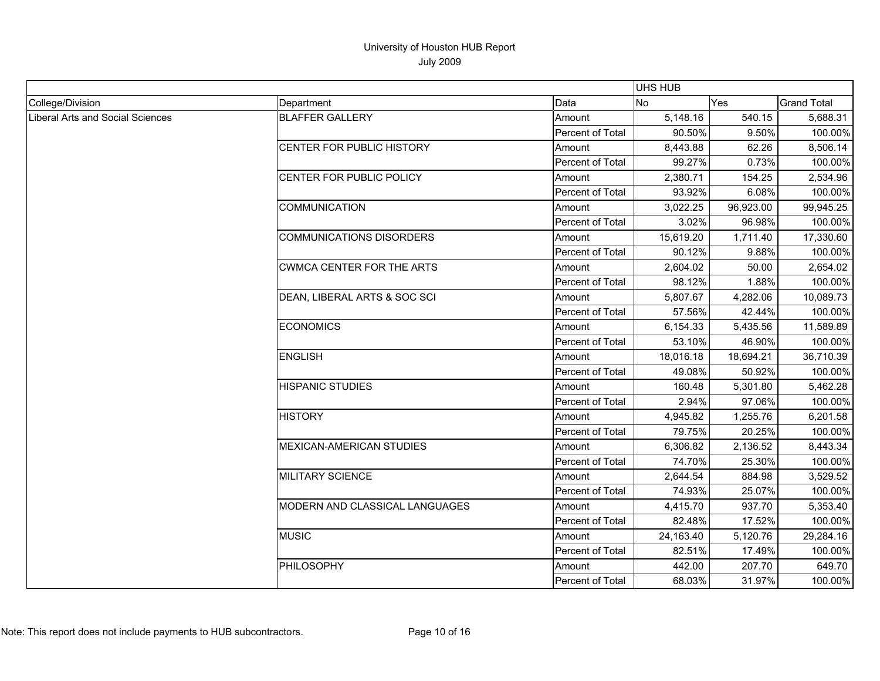|                                  |                                  |                  | UHS HUB   |           |                    |
|----------------------------------|----------------------------------|------------------|-----------|-----------|--------------------|
| College/Division                 | Department                       | Data             | No        | Yes       | <b>Grand Total</b> |
| Liberal Arts and Social Sciences | <b>BLAFFER GALLERY</b>           | Amount           | 5,148.16  | 540.15    | 5,688.31           |
|                                  |                                  | Percent of Total | 90.50%    | 9.50%     | 100.00%            |
|                                  | CENTER FOR PUBLIC HISTORY        | Amount           | 8,443.88  | 62.26     | 8,506.14           |
|                                  |                                  | Percent of Total | 99.27%    | 0.73%     | 100.00%            |
|                                  | CENTER FOR PUBLIC POLICY         | Amount           | 2,380.71  | 154.25    | 2,534.96           |
|                                  |                                  | Percent of Total | 93.92%    | 6.08%     | 100.00%            |
|                                  | <b>COMMUNICATION</b>             | Amount           | 3,022.25  | 96,923.00 | 99,945.25          |
|                                  |                                  | Percent of Total | 3.02%     | 96.98%    | 100.00%            |
|                                  | <b>COMMUNICATIONS DISORDERS</b>  | Amount           | 15,619.20 | 1,711.40  | 17,330.60          |
|                                  |                                  | Percent of Total | 90.12%    | 9.88%     | 100.00%            |
|                                  | <b>CWMCA CENTER FOR THE ARTS</b> | Amount           | 2,604.02  | 50.00     | 2,654.02           |
|                                  |                                  | Percent of Total | 98.12%    | 1.88%     | 100.00%            |
|                                  | DEAN, LIBERAL ARTS & SOC SCI     | Amount           | 5,807.67  | 4,282.06  | 10,089.73          |
|                                  |                                  | Percent of Total | 57.56%    | 42.44%    | 100.00%            |
|                                  | <b>ECONOMICS</b>                 | Amount           | 6,154.33  | 5,435.56  | 11,589.89          |
|                                  |                                  | Percent of Total | 53.10%    | 46.90%    | 100.00%            |
|                                  | <b>ENGLISH</b>                   | Amount           | 18,016.18 | 18,694.21 | 36,710.39          |
|                                  |                                  | Percent of Total | 49.08%    | 50.92%    | 100.00%            |
|                                  | <b>HISPANIC STUDIES</b>          | Amount           | 160.48    | 5,301.80  | 5,462.28           |
|                                  |                                  | Percent of Total | 2.94%     | 97.06%    | 100.00%            |
|                                  | <b>HISTORY</b>                   | Amount           | 4,945.82  | 1,255.76  | 6,201.58           |
|                                  |                                  | Percent of Total | 79.75%    | 20.25%    | 100.00%            |
|                                  | <b>MEXICAN-AMERICAN STUDIES</b>  | Amount           | 6,306.82  | 2,136.52  | 8,443.34           |
|                                  |                                  | Percent of Total | 74.70%    | 25.30%    | 100.00%            |
|                                  | <b>MILITARY SCIENCE</b>          | Amount           | 2,644.54  | 884.98    | 3,529.52           |
|                                  |                                  | Percent of Total | 74.93%    | 25.07%    | 100.00%            |
|                                  | MODERN AND CLASSICAL LANGUAGES   | Amount           | 4,415.70  | 937.70    | 5,353.40           |
|                                  |                                  | Percent of Total | 82.48%    | 17.52%    | 100.00%            |
|                                  | <b>MUSIC</b>                     | Amount           | 24,163.40 | 5,120.76  | 29,284.16          |
|                                  |                                  | Percent of Total | 82.51%    | 17.49%    | 100.00%            |
|                                  | PHILOSOPHY                       | Amount           | 442.00    | 207.70    | 649.70             |
|                                  |                                  | Percent of Total | 68.03%    | 31.97%    | 100.00%            |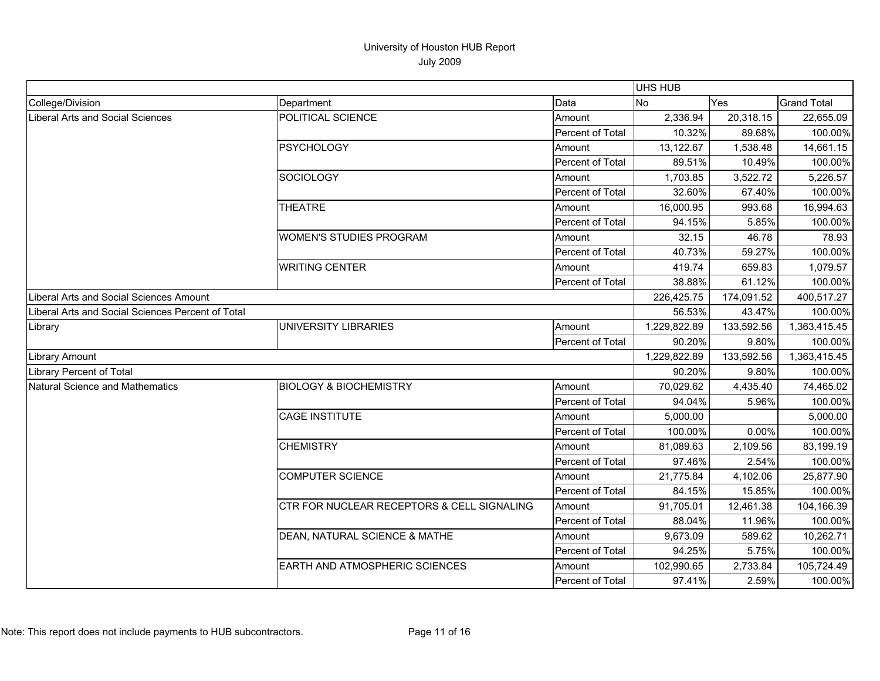|                                                   |                                            |                  | UHS HUB      |            |                    |
|---------------------------------------------------|--------------------------------------------|------------------|--------------|------------|--------------------|
| College/Division                                  | Department                                 | Data             | lNo.         | Yes        | <b>Grand Total</b> |
| <b>Liberal Arts and Social Sciences</b>           | POLITICAL SCIENCE                          | Amount           | 2,336.94     | 20,318.15  | 22,655.09          |
|                                                   |                                            | Percent of Total | 10.32%       | 89.68%     | 100.00%            |
|                                                   | <b>PSYCHOLOGY</b>                          | Amount           | 13,122.67    | 1,538.48   | 14,661.15          |
|                                                   |                                            | Percent of Total | 89.51%       | 10.49%     | 100.00%            |
|                                                   | <b>SOCIOLOGY</b>                           | Amount           | 1,703.85     | 3,522.72   | 5,226.57           |
|                                                   |                                            | Percent of Total | 32.60%       | 67.40%     | 100.00%            |
|                                                   | <b>THEATRE</b>                             | Amount           | 16,000.95    | 993.68     | 16,994.63          |
|                                                   |                                            | Percent of Total | 94.15%       | 5.85%      | 100.00%            |
|                                                   | <b>WOMEN'S STUDIES PROGRAM</b>             | Amount           | 32.15        | 46.78      | 78.93              |
|                                                   |                                            | Percent of Total | 40.73%       | 59.27%     | 100.00%            |
|                                                   | <b>WRITING CENTER</b>                      | Amount           | 419.74       | 659.83     | 1,079.57           |
|                                                   |                                            | Percent of Total | 38.88%       | 61.12%     | 100.00%            |
| Liberal Arts and Social Sciences Amount           |                                            |                  | 226,425.75   | 174,091.52 | 400,517.27         |
| Liberal Arts and Social Sciences Percent of Total |                                            |                  | 56.53%       | 43.47%     | 100.00%            |
| Library                                           | UNIVERSITY LIBRARIES                       | Amount           | 1,229,822.89 | 133,592.56 | 1,363,415.45       |
|                                                   |                                            | Percent of Total | 90.20%       | 9.80%      | 100.00%            |
| Library Amount                                    |                                            |                  | 1,229,822.89 | 133,592.56 | 1,363,415.45       |
| <b>Library Percent of Total</b>                   |                                            |                  | 90.20%       | 9.80%      | 100.00%            |
| <b>Natural Science and Mathematics</b>            | <b>BIOLOGY &amp; BIOCHEMISTRY</b>          | Amount           | 70,029.62    | 4,435.40   | 74,465.02          |
|                                                   |                                            | Percent of Total | 94.04%       | 5.96%      | 100.00%            |
|                                                   | CAGE INSTITUTE                             | Amount           | 5,000.00     |            | 5,000.00           |
|                                                   |                                            | Percent of Total | 100.00%      | 0.00%      | 100.00%            |
|                                                   | <b>CHEMISTRY</b>                           | Amount           | 81,089.63    | 2,109.56   | 83,199.19          |
|                                                   |                                            | Percent of Total | 97.46%       | 2.54%      | 100.00%            |
|                                                   | <b>COMPUTER SCIENCE</b>                    | Amount           | 21,775.84    | 4,102.06   | 25,877.90          |
|                                                   |                                            | Percent of Total | 84.15%       | 15.85%     | 100.00%            |
|                                                   | CTR FOR NUCLEAR RECEPTORS & CELL SIGNALING | Amount           | 91,705.01    | 12,461.38  | 104,166.39         |
|                                                   |                                            | Percent of Total | 88.04%       | 11.96%     | 100.00%            |
|                                                   | DEAN, NATURAL SCIENCE & MATHE              | Amount           | 9,673.09     | 589.62     | 10,262.71          |
|                                                   |                                            | Percent of Total | 94.25%       | 5.75%      | 100.00%            |
|                                                   | <b>EARTH AND ATMOSPHERIC SCIENCES</b>      | Amount           | 102,990.65   | 2,733.84   | 105,724.49         |
|                                                   |                                            | Percent of Total | 97.41%       | 2.59%      | 100.00%            |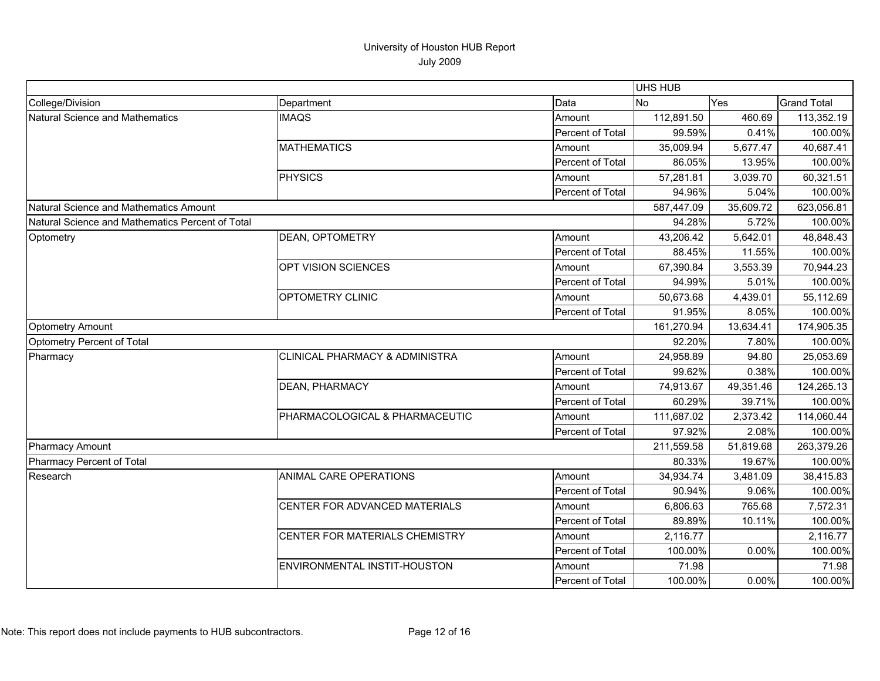|                                                  |                                           |                  | UHS HUB    |            |                    |
|--------------------------------------------------|-------------------------------------------|------------------|------------|------------|--------------------|
| College/Division                                 | Department                                | Data             | <b>No</b>  | <b>Yes</b> | <b>Grand Total</b> |
| Natural Science and Mathematics                  | <b>IMAQS</b>                              | Amount           | 112,891.50 | 460.69     | 113,352.19         |
|                                                  |                                           | Percent of Total | 99.59%     | 0.41%      | 100.00%            |
|                                                  | <b>MATHEMATICS</b>                        | Amount           | 35,009.94  | 5,677.47   | 40,687.41          |
|                                                  |                                           | Percent of Total | 86.05%     | 13.95%     | 100.00%            |
|                                                  | PHYSICS                                   | Amount           | 57,281.81  | 3,039.70   | 60,321.51          |
|                                                  |                                           | Percent of Total | 94.96%     | 5.04%      | 100.00%            |
| Natural Science and Mathematics Amount           |                                           |                  | 587,447.09 | 35,609.72  | 623,056.81         |
| Natural Science and Mathematics Percent of Total |                                           |                  | 94.28%     | 5.72%      | 100.00%            |
| Optometry                                        | <b>DEAN, OPTOMETRY</b>                    | Amount           | 43,206.42  | 5,642.01   | 48,848.43          |
|                                                  |                                           | Percent of Total | 88.45%     | 11.55%     | 100.00%            |
|                                                  | OPT VISION SCIENCES                       | Amount           | 67,390.84  | 3,553.39   | 70,944.23          |
|                                                  |                                           | Percent of Total | 94.99%     | 5.01%      | 100.00%            |
|                                                  | OPTOMETRY CLINIC                          | Amount           | 50,673.68  | 4,439.01   | 55,112.69          |
|                                                  |                                           | Percent of Total | 91.95%     | 8.05%      | 100.00%            |
| <b>Optometry Amount</b>                          |                                           |                  | 161,270.94 | 13,634.41  | 174,905.35         |
| Optometry Percent of Total                       |                                           |                  | 92.20%     | 7.80%      | 100.00%            |
| Pharmacy                                         | <b>CLINICAL PHARMACY &amp; ADMINISTRA</b> | Amount           | 24,958.89  | 94.80      | 25,053.69          |
|                                                  |                                           | Percent of Total | 99.62%     | 0.38%      | 100.00%            |
|                                                  | <b>DEAN, PHARMACY</b>                     | Amount           | 74,913.67  | 49,351.46  | 124,265.13         |
|                                                  |                                           | Percent of Total | 60.29%     | 39.71%     | 100.00%            |
|                                                  | PHARMACOLOGICAL & PHARMACEUTIC            | Amount           | 111,687.02 | 2,373.42   | 114,060.44         |
|                                                  |                                           | Percent of Total | 97.92%     | 2.08%      | 100.00%            |
| <b>Pharmacy Amount</b>                           |                                           |                  | 211,559.58 | 51,819.68  | 263,379.26         |
| Pharmacy Percent of Total                        |                                           |                  | 80.33%     | 19.67%     | 100.00%            |
| Research                                         | ANIMAL CARE OPERATIONS                    | Amount           | 34,934.74  | 3,481.09   | 38,415.83          |
|                                                  |                                           | Percent of Total | 90.94%     | 9.06%      | 100.00%            |
|                                                  | CENTER FOR ADVANCED MATERIALS             | Amount           | 6,806.63   | 765.68     | 7,572.31           |
|                                                  |                                           | Percent of Total | 89.89%     | 10.11%     | 100.00%            |
|                                                  | CENTER FOR MATERIALS CHEMISTRY            | Amount           | 2,116.77   |            | 2,116.77           |
|                                                  |                                           | Percent of Total | 100.00%    | 0.00%      | 100.00%            |
|                                                  | ENVIRONMENTAL INSTIT-HOUSTON              | Amount           | 71.98      |            | 71.98              |
|                                                  |                                           | Percent of Total | 100.00%    | 0.00%      | 100.00%            |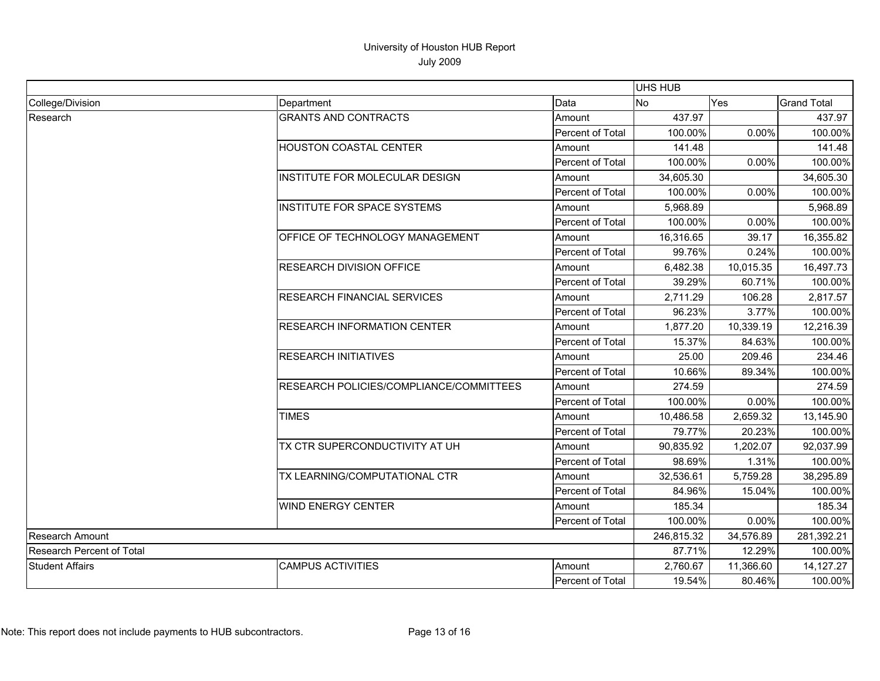|                                  |                                         |                         |           | UHS HUB    |                    |  |  |
|----------------------------------|-----------------------------------------|-------------------------|-----------|------------|--------------------|--|--|
| College/Division                 | Department                              | Data                    | <b>No</b> | Yes        | <b>Grand Total</b> |  |  |
| Research                         | <b>GRANTS AND CONTRACTS</b>             | Amount                  | 437.97    |            | 437.97             |  |  |
|                                  |                                         | Percent of Total        | 100.00%   | 0.00%      | 100.00%            |  |  |
|                                  | <b>HOUSTON COASTAL CENTER</b>           | Amount                  | 141.48    |            | 141.48             |  |  |
|                                  |                                         | Percent of Total        | 100.00%   | 0.00%      | 100.00%            |  |  |
|                                  | INSTITUTE FOR MOLECULAR DESIGN          | Amount                  | 34,605.30 |            | 34,605.30          |  |  |
|                                  |                                         | Percent of Total        | 100.00%   | 0.00%      | 100.00%            |  |  |
|                                  | <b>INSTITUTE FOR SPACE SYSTEMS</b>      | Amount                  | 5,968.89  |            | 5,968.89           |  |  |
|                                  |                                         | Percent of Total        | 100.00%   | 0.00%      | 100.00%            |  |  |
|                                  | OFFICE OF TECHNOLOGY MANAGEMENT         | Amount                  | 16,316.65 | 39.17      | 16,355.82          |  |  |
|                                  |                                         | Percent of Total        | 99.76%    | 0.24%      | 100.00%            |  |  |
|                                  | <b>RESEARCH DIVISION OFFICE</b>         | Amount                  | 6,482.38  | 10,015.35  | 16,497.73          |  |  |
|                                  |                                         | Percent of Total        | 39.29%    | 60.71%     | 100.00%            |  |  |
|                                  | <b>RESEARCH FINANCIAL SERVICES</b>      | Amount                  | 2,711.29  | 106.28     | 2,817.57           |  |  |
|                                  |                                         | Percent of Total        | 96.23%    | 3.77%      | 100.00%            |  |  |
|                                  | <b>RESEARCH INFORMATION CENTER</b>      | Amount                  | 1,877.20  | 10,339.19  | 12,216.39          |  |  |
|                                  |                                         | Percent of Total        | 15.37%    | 84.63%     | 100.00%            |  |  |
|                                  | <b>RESEARCH INITIATIVES</b>             | Amount                  | 25.00     | 209.46     | 234.46             |  |  |
|                                  |                                         | Percent of Total        | 10.66%    | 89.34%     | 100.00%            |  |  |
|                                  | RESEARCH POLICIES/COMPLIANCE/COMMITTEES | Amount                  | 274.59    |            | 274.59             |  |  |
|                                  |                                         | Percent of Total        | 100.00%   | 0.00%      | 100.00%            |  |  |
|                                  | <b>TIMES</b>                            | Amount                  | 10,486.58 | 2,659.32   | 13,145.90          |  |  |
|                                  |                                         | Percent of Total        | 79.77%    | 20.23%     | 100.00%            |  |  |
|                                  | TX CTR SUPERCONDUCTIVITY AT UH          | Amount                  | 90,835.92 | 1,202.07   | 92,037.99          |  |  |
|                                  |                                         | Percent of Total        | 98.69%    | 1.31%      | 100.00%            |  |  |
|                                  | TX LEARNING/COMPUTATIONAL CTR           | Amount                  | 32.536.61 | 5,759.28   | 38,295.89          |  |  |
|                                  |                                         | Percent of Total        | 84.96%    | 15.04%     | 100.00%            |  |  |
|                                  | <b>WIND ENERGY CENTER</b>               | Amount                  | 185.34    |            | 185.34             |  |  |
|                                  |                                         | Percent of Total        | 100.00%   | 0.00%      | 100.00%            |  |  |
| Research Amount                  |                                         | 246,815.32              | 34,576.89 | 281,392.21 |                    |  |  |
| <b>Research Percent of Total</b> |                                         | 87.71%                  | 12.29%    | 100.00%    |                    |  |  |
| <b>Student Affairs</b>           | <b>CAMPUS ACTIVITIES</b>                | Amount                  | 2,760.67  | 11,366.60  | 14,127.27          |  |  |
|                                  |                                         | <b>Percent of Total</b> | 19.54%    | 80.46%     | 100.00%            |  |  |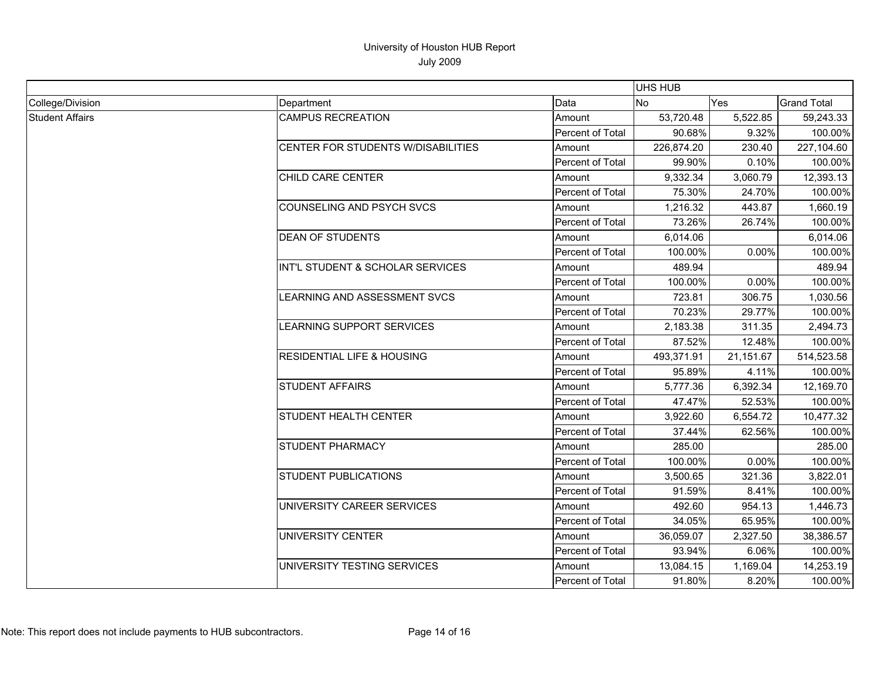|                        |                                       |                  | UHS HUB    |           |                    |
|------------------------|---------------------------------------|------------------|------------|-----------|--------------------|
| College/Division       | Department                            | Data             | No.        | Yes       | <b>Grand Total</b> |
| <b>Student Affairs</b> | <b>CAMPUS RECREATION</b>              | Amount           | 53,720.48  | 5,522.85  | 59,243.33          |
|                        |                                       | Percent of Total | 90.68%     | 9.32%     | 100.00%            |
|                        | CENTER FOR STUDENTS W/DISABILITIES    | Amount           | 226,874.20 | 230.40    | 227,104.60         |
|                        |                                       | Percent of Total | 99.90%     | 0.10%     | 100.00%            |
|                        | <b>CHILD CARE CENTER</b>              | Amount           | 9,332.34   | 3,060.79  | 12,393.13          |
|                        |                                       | Percent of Total | 75.30%     | 24.70%    | 100.00%            |
|                        | COUNSELING AND PSYCH SVCS             | Amount           | 1,216.32   | 443.87    | 1,660.19           |
|                        |                                       | Percent of Total | 73.26%     | 26.74%    | 100.00%            |
|                        | <b>DEAN OF STUDENTS</b>               | Amount           | 6,014.06   |           | 6,014.06           |
|                        |                                       | Percent of Total | 100.00%    | 0.00%     | 100.00%            |
|                        | INT'L STUDENT & SCHOLAR SERVICES      | Amount           | 489.94     |           | 489.94             |
|                        |                                       | Percent of Total | 100.00%    | 0.00%     | 100.00%            |
|                        | LEARNING AND ASSESSMENT SVCS          | Amount           | 723.81     | 306.75    | 1,030.56           |
|                        |                                       | Percent of Total | 70.23%     | 29.77%    | 100.00%            |
|                        | LEARNING SUPPORT SERVICES             | Amount           | 2,183.38   | 311.35    | 2,494.73           |
|                        |                                       | Percent of Total | 87.52%     | 12.48%    | 100.00%            |
|                        | <b>RESIDENTIAL LIFE &amp; HOUSING</b> | Amount           | 493,371.91 | 21,151.67 | 514,523.58         |
|                        |                                       | Percent of Total | 95.89%     | 4.11%     | 100.00%            |
|                        | <b>STUDENT AFFAIRS</b>                | Amount           | 5,777.36   | 6,392.34  | 12,169.70          |
|                        |                                       | Percent of Total | 47.47%     | 52.53%    | 100.00%            |
|                        | <b>STUDENT HEALTH CENTER</b>          | Amount           | 3,922.60   | 6,554.72  | 10,477.32          |
|                        |                                       | Percent of Total | 37.44%     | 62.56%    | 100.00%            |
|                        | <b>STUDENT PHARMACY</b>               | Amount           | 285.00     |           | 285.00             |
|                        |                                       | Percent of Total | 100.00%    | 0.00%     | 100.00%            |
|                        | <b>STUDENT PUBLICATIONS</b>           | Amount           | 3,500.65   | 321.36    | 3,822.01           |
|                        |                                       | Percent of Total | 91.59%     | 8.41%     | 100.00%            |
|                        | UNIVERSITY CAREER SERVICES            | Amount           | 492.60     | 954.13    | 1,446.73           |
|                        |                                       | Percent of Total | 34.05%     | 65.95%    | 100.00%            |
|                        | <b>UNIVERSITY CENTER</b>              | Amount           | 36,059.07  | 2,327.50  | 38,386.57          |
|                        |                                       | Percent of Total | 93.94%     | 6.06%     | 100.00%            |
|                        | UNIVERSITY TESTING SERVICES           | Amount           | 13,084.15  | 1,169.04  | 14,253.19          |
|                        |                                       | Percent of Total | 91.80%     | 8.20%     | 100.00%            |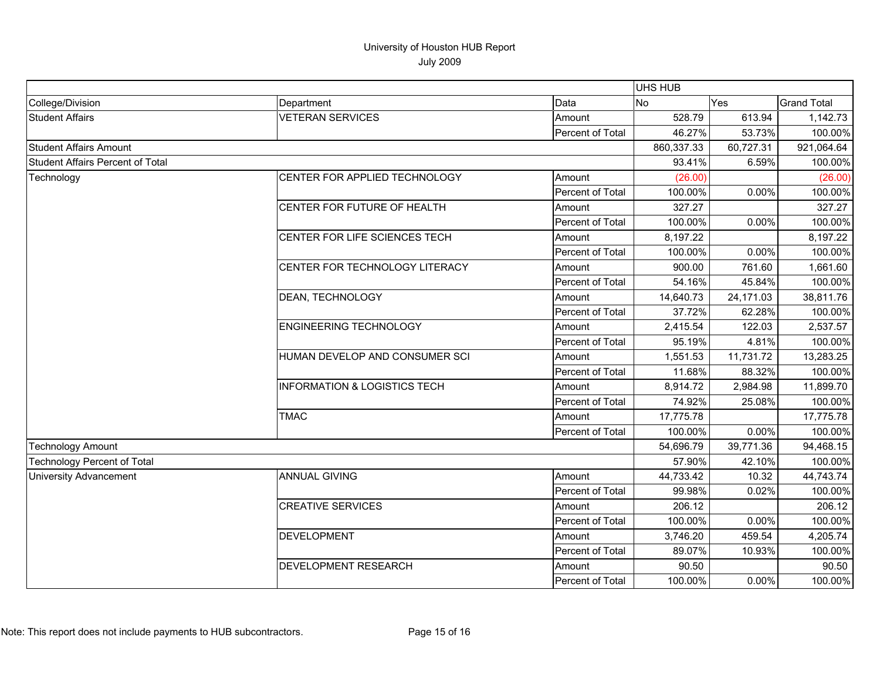|                                         |                                         |                  | <b>UHS HUB</b> |            |                    |
|-----------------------------------------|-----------------------------------------|------------------|----------------|------------|--------------------|
| College/Division                        | Department                              | Data             | <b>No</b>      | <b>Yes</b> | <b>Grand Total</b> |
| <b>Student Affairs</b>                  | <b>VETERAN SERVICES</b>                 | Amount           | 528.79         | 613.94     | 1,142.73           |
|                                         |                                         | Percent of Total | 46.27%         | 53.73%     | 100.00%            |
| <b>Student Affairs Amount</b>           |                                         | 860,337.33       | 60,727.31      | 921,064.64 |                    |
| <b>Student Affairs Percent of Total</b> |                                         |                  | 93.41%         | 6.59%      | 100.00%            |
| Technology                              | CENTER FOR APPLIED TECHNOLOGY           | Amount           | (26.00)        |            | (26.00)            |
|                                         |                                         | Percent of Total | 100.00%        | 0.00%      | 100.00%            |
|                                         | CENTER FOR FUTURE OF HEALTH             | Amount           | 327.27         |            | 327.27             |
|                                         |                                         | Percent of Total | 100.00%        | 0.00%      | 100.00%            |
|                                         | CENTER FOR LIFE SCIENCES TECH           | Amount           | 8,197.22       |            | 8,197.22           |
|                                         |                                         | Percent of Total | 100.00%        | 0.00%      | 100.00%            |
|                                         | CENTER FOR TECHNOLOGY LITERACY          | Amount           | 900.00         | 761.60     | 1,661.60           |
|                                         |                                         | Percent of Total | 54.16%         | 45.84%     | 100.00%            |
|                                         | DEAN, TECHNOLOGY                        | Amount           | 14,640.73      | 24,171.03  | 38,811.76          |
|                                         |                                         | Percent of Total | 37.72%         | 62.28%     | 100.00%            |
|                                         | <b>ENGINEERING TECHNOLOGY</b>           | Amount           | 2,415.54       | 122.03     | 2,537.57           |
|                                         |                                         | Percent of Total | 95.19%         | 4.81%      | 100.00%            |
|                                         | HUMAN DEVELOP AND CONSUMER SCI          | Amount           | 1,551.53       | 11,731.72  | 13,283.25          |
|                                         |                                         | Percent of Total | 11.68%         | 88.32%     | 100.00%            |
|                                         | <b>INFORMATION &amp; LOGISTICS TECH</b> | Amount           | 8,914.72       | 2,984.98   | 11,899.70          |
|                                         |                                         | Percent of Total | 74.92%         | 25.08%     | 100.00%            |
|                                         | <b>TMAC</b>                             | Amount           | 17,775.78      |            | 17,775.78          |
|                                         |                                         | Percent of Total | 100.00%        | 0.00%      | 100.00%            |
| <b>Technology Amount</b>                |                                         |                  | 54,696.79      | 39,771.36  | 94,468.15          |
| <b>Technology Percent of Total</b>      |                                         |                  | 57.90%         | 42.10%     | 100.00%            |
| <b>University Advancement</b>           | <b>ANNUAL GIVING</b>                    | Amount           | 44,733.42      | 10.32      | 44,743.74          |
|                                         |                                         | Percent of Total | 99.98%         | 0.02%      | 100.00%            |
|                                         | <b>CREATIVE SERVICES</b>                | Amount           | 206.12         |            | 206.12             |
|                                         |                                         | Percent of Total | 100.00%        | 0.00%      | 100.00%            |
|                                         | <b>DEVELOPMENT</b>                      | Amount           | 3,746.20       | 459.54     | 4,205.74           |
|                                         |                                         | Percent of Total | 89.07%         | 10.93%     | 100.00%            |
|                                         | DEVELOPMENT RESEARCH                    | Amount           | 90.50          |            | 90.50              |
|                                         |                                         | Percent of Total | 100.00%        | 0.00%      | 100.00%            |